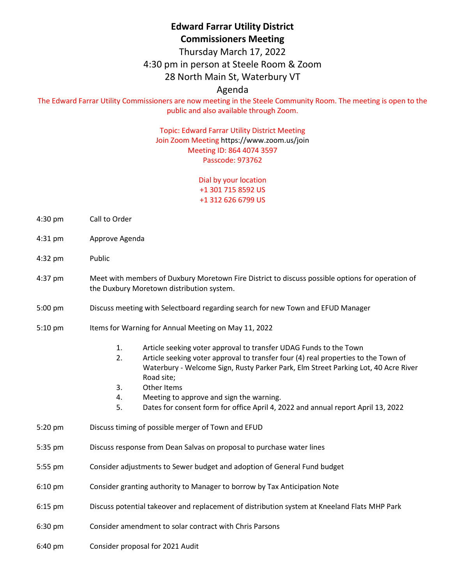# **Edward Farrar Utility District Commissioners Meeting**

Thursday March 17, 2022

#### 4:30 pm in person at Steele Room & Zoom

## 28 North Main St, Waterbury VT

## Agenda

The Edward Farrar Utility Commissioners are now meeting in the Steele Community Room. The meeting is open to the public and also available through Zoom.

#### Topic: Edward Farrar Utility District Meeting Join Zoom Meeting<https://www.zoom.us/join> Meeting ID: 864 4074 3597 Passcode: 973762

Dial by your location +1 301 715 8592 US +1 312 626 6799 US

- 4:30 pm Call to Order
- 4:31 pm Approve Agenda
- 4:32 pm Public
- 4:37 pm Meet with members of Duxbury Moretown Fire District to discuss possible options for operation of the Duxbury Moretown distribution system.
- 5:00 pm Discuss meeting with Selectboard regarding search for new Town and EFUD Manager
- 5:10 pm Items for Warning for Annual Meeting on May 11, 2022
	- 1. Article seeking voter approval to transfer UDAG Funds to the Town
	- 2. Article seeking voter approval to transfer four (4) real properties to the Town of Waterbury - Welcome Sign, Rusty Parker Park, Elm Street Parking Lot, 40 Acre River Road site;
	- 3. Other Items
	- 4. Meeting to approve and sign the warning.
	- 5. Dates for consent form for office April 4, 2022 and annual report April 13, 2022
- 5:20 pm Discuss timing of possible merger of Town and EFUD
- 5:35 pm Discuss response from Dean Salvas on proposal to purchase water lines
- 5:55 pm Consider adjustments to Sewer budget and adoption of General Fund budget
- 6:10 pm Consider granting authority to Manager to borrow by Tax Anticipation Note
- 6:15 pm Discuss potential takeover and replacement of distribution system at Kneeland Flats MHP Park
- 6:30 pm Consider amendment to solar contract with Chris Parsons
- 6:40 pm Consider proposal for 2021 Audit